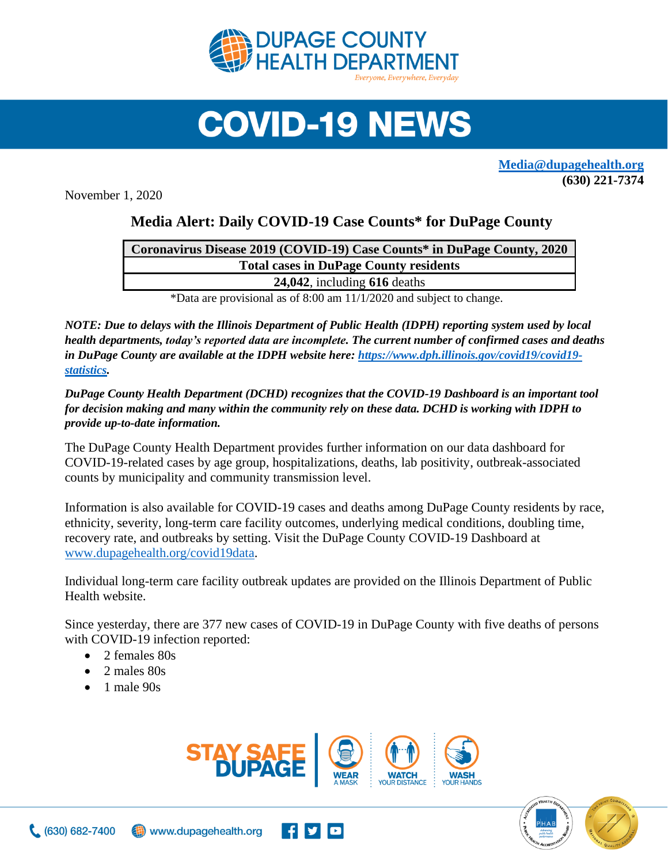

## **COVID-19 NEWS**

**[Media@dupagehealth.org](mailto:Media@dupagehealth.org) (630) 221-7374**

November 1, 2020

## **Media Alert: Daily COVID-19 Case Counts\* for DuPage County**

| Coronavirus Disease 2019 (COVID-19) Case Counts* in DuPage County, 2020 |
|-------------------------------------------------------------------------|
| <b>Total cases in DuPage County residents</b>                           |
| $24,042$ , including 616 deaths                                         |
|                                                                         |

\*Data are provisional as of 8:00 am 11/1/2020 and subject to change.

*NOTE: Due to delays with the Illinois Department of Public Health (IDPH) reporting system used by local health departments, today's reported data are incomplete. The current number of confirmed cases and deaths in DuPage County are available at the IDPH website here: [https://www.dph.illinois.gov/covid19/covid19](https://www.dph.illinois.gov/covid19/covid19-statistics) [statistics.](https://www.dph.illinois.gov/covid19/covid19-statistics)* 

*DuPage County Health Department (DCHD) recognizes that the COVID-19 Dashboard is an important tool for decision making and many within the community rely on these data. DCHD is working with IDPH to provide up-to-date information.*

The DuPage County Health Department provides further information on our data dashboard for COVID-19-related cases by age group, hospitalizations, deaths, lab positivity, outbreak-associated counts by municipality and community transmission level.

Information is also available for COVID-19 cases and deaths among DuPage County residents by race, ethnicity, severity, long-term care facility outcomes, underlying medical conditions, doubling time, recovery rate, and outbreaks by setting. Visit the DuPage County COVID-19 Dashboard at [www.dupagehealth.org/covid19data.](http://www.dupagehealth.org/covid19data)

Individual long-term care facility outbreak updates are provided on the Illinois Department of Public Health website.

Since yesterday, there are 377 new cases of COVID-19 in DuPage County with five deaths of persons with COVID-19 infection reported:

- 2 females 80s
- 2 males 80s
- $\bullet$  1 male 90s